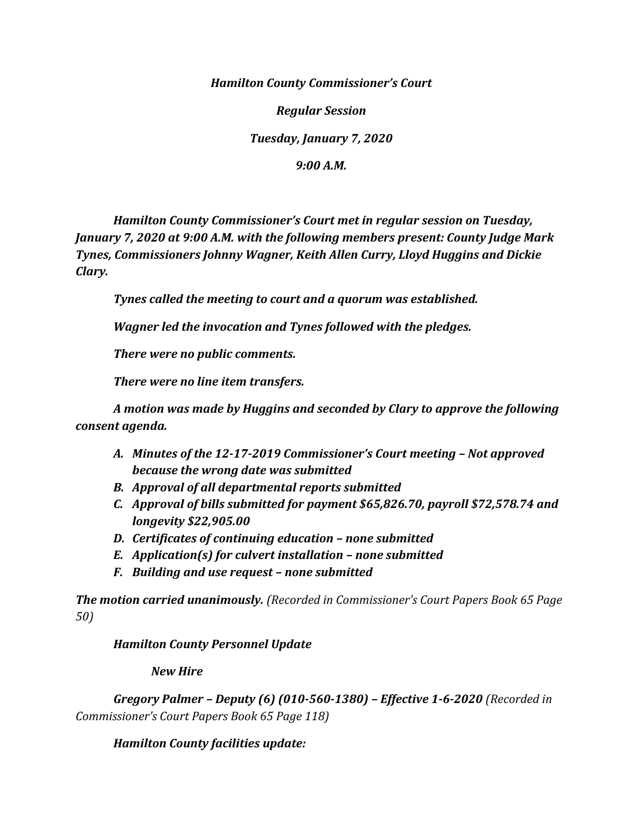*Hamilton County Commissioner's Court*

*Regular Session*

*Tuesday, January 7, 2020*

*9:00 A.M.*

*Hamilton County Commissioner's Court met in regular session on Tuesday, January 7, 2020 at 9:00 A.M. with the following members present: County Judge Mark Tynes, Commissioners Johnny Wagner, Keith Allen Curry, Lloyd Huggins and Dickie Clary.*

*Tynes called the meeting to court and a quorum was established.*

*Wagner led the invocation and Tynes followed with the pledges.*

*There were no public comments.*

*There were no line item transfers.*

*A motion was made by Huggins and seconded by Clary to approve the following consent agenda.* 

- *A. Minutes of the 12-17-2019 Commissioner's Court meeting – Not approved because the wrong date was submitted*
- *B. Approval of all departmental reports submitted*
- *C. Approval of bills submitted for payment \$65,826.70, payroll \$72,578.74 and longevity \$22,905.00*
- *D. Certificates of continuing education – none submitted*
- *E. Application(s) for culvert installation – none submitted*
- *F. Building and use request – none submitted*

*The motion carried unanimously. (Recorded in Commissioner's Court Papers Book 65 Page 50)*

*Hamilton County Personnel Update*

*New Hire*

*Gregory Palmer – Deputy (6) (010-560-1380) – Effective 1-6-2020 (Recorded in Commissioner's Court Papers Book 65 Page 118)*

*Hamilton County facilities update:*